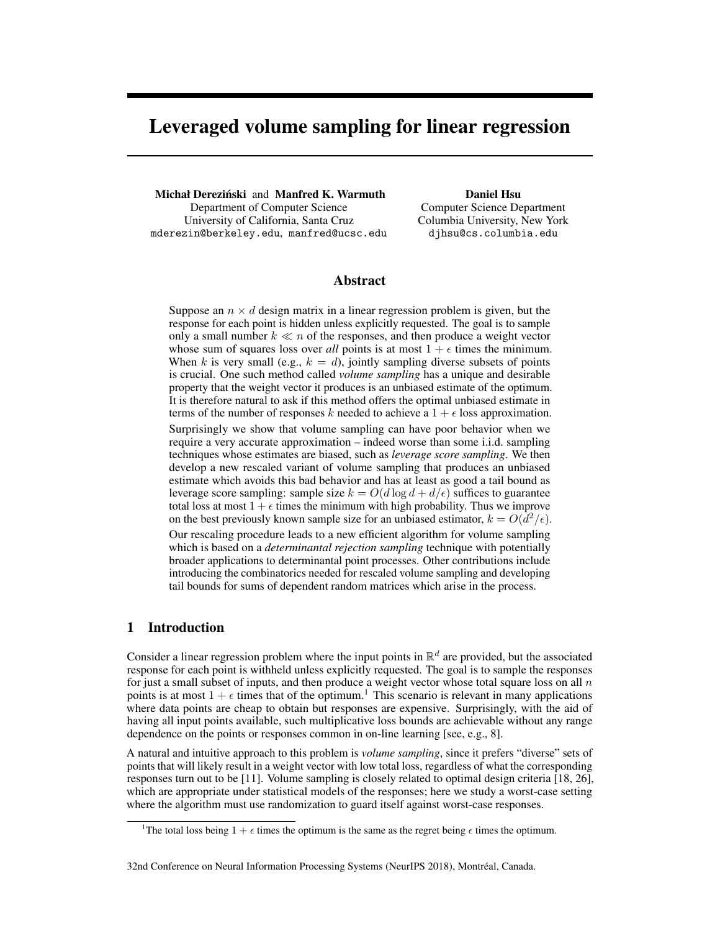# Leveraged volume sampling for linear regression

Michał Dereziński and Manfred K. Warmuth Department of Computer Science University of California, Santa Cruz mderezin@berkeley.edu, manfred@ucsc.edu

Daniel Hsu Computer Science Department Columbia University, New York djhsu@cs.columbia.edu

# Abstract

Suppose an  $n \times d$  design matrix in a linear regression problem is given, but the response for each point is hidden unless explicitly requested. The goal is to sample only a small number  $k \ll n$  of the responses, and then produce a weight vector whose sum of squares loss over *all* points is at most  $1 + \epsilon$  times the minimum. When *k* is very small (e.g.,  $k = d$ ), jointly sampling diverse subsets of points is crucial. One such method called *volume sampling* has a unique and desirable property that the weight vector it produces is an unbiased estimate of the optimum. It is therefore natural to ask if this method offers the optimal unbiased estimate in terms of the number of responses *k* needed to achieve a  $1 + \epsilon$  loss approximation. Surprisingly we show that volume sampling can have poor behavior when we require a very accurate approximation – indeed worse than some i.i.d. sampling techniques whose estimates are biased, such as *leverage score sampling*. We then develop a new rescaled variant of volume sampling that produces an unbiased estimate which avoids this bad behavior and has at least as good a tail bound as leverage score sampling: sample size  $k = O(d \log d + d/\epsilon)$  suffices to guarantee total loss at most  $1 + \epsilon$  times the minimum with high probability. Thus we improve on the best previously known sample size for an unbiased estimator,  $k = O(d^2/\epsilon)$ .

Our rescaling procedure leads to a new efficient algorithm for volume sampling which is based on a *determinantal rejection sampling* technique with potentially broader applications to determinantal point processes. Other contributions include introducing the combinatorics needed for rescaled volume sampling and developing tail bounds for sums of dependent random matrices which arise in the process.

# 1 Introduction

Consider a linear regression problem where the input points in  $\mathbb{R}^d$  are provided, but the associated response for each point is withheld unless explicitly requested. The goal is to sample the responses for just a small subset of inputs, and then produce a weight vector whose total square loss on all *n* points is at most  $1 + \epsilon$  times that of the optimum.<sup>1</sup> This scenario is relevant in many applications where data points are cheap to obtain but responses are expensive. Surprisingly, with the aid of having all input points available, such multiplicative loss bounds are achievable without any range dependence on the points or responses common in on-line learning [see, e.g., 8].

A natural and intuitive approach to this problem is *volume sampling*, since it prefers "diverse" sets of points that will likely result in a weight vector with low total loss, regardless of what the corresponding responses turn out to be [11]. Volume sampling is closely related to optimal design criteria [18, 26], which are appropriate under statistical models of the responses; here we study a worst-case setting where the algorithm must use randomization to guard itself against worst-case responses.

<sup>&</sup>lt;sup>1</sup>The total loss being  $1 + \epsilon$  times the optimum is the same as the regret being  $\epsilon$  times the optimum.

<sup>32</sup>nd Conference on Neural Information Processing Systems (NeurIPS 2018), Montréal, Canada.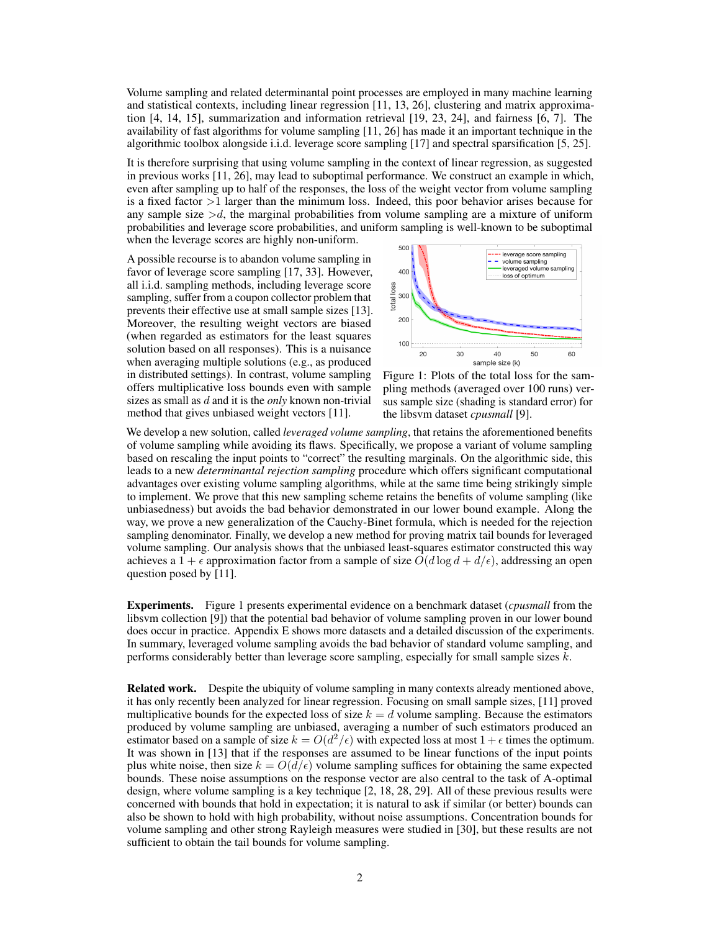Volume sampling and related determinantal point processes are employed in many machine learning and statistical contexts, including linear regression [11, 13, 26], clustering and matrix approximation [4, 14, 15], summarization and information retrieval [19, 23, 24], and fairness [6, 7]. The availability of fast algorithms for volume sampling [11, 26] has made it an important technique in the algorithmic toolbox alongside i.i.d. leverage score sampling [17] and spectral sparsification [5, 25].

It is therefore surprising that using volume sampling in the context of linear regression, as suggested in previous works [11, 26], may lead to suboptimal performance. We construct an example in which, even after sampling up to half of the responses, the loss of the weight vector from volume sampling is a fixed factor *>*1 larger than the minimum loss. Indeed, this poor behavior arises because for any sample size  $>d$ , the marginal probabilities from volume sampling are a mixture of uniform probabilities and leverage score probabilities, and uniform sampling is well-known to be suboptimal when the leverage scores are highly non-uniform.

A possible recourse is to abandon volume sampling in favor of leverage score sampling [17, 33]. However, all i.i.d. sampling methods, including leverage score sampling, suffer from a coupon collector problem that prevents their effective use at small sample sizes [13]. Moreover, the resulting weight vectors are biased (when regarded as estimators for the least squares solution based on all responses). This is a nuisance when averaging multiple solutions (e.g., as produced in distributed settings). In contrast, volume sampling offers multiplicative loss bounds even with sample sizes as small as *d* and it is the *only* known non-trivial method that gives unbiased weight vectors [11].



Figure 1: Plots of the total loss for the sampling methods (averaged over 100 runs) versus sample size (shading is standard error) for the libsvm dataset *cpusmall* [9].

We develop a new solution, called *leveraged volume sampling*, that retains the aforementioned benefits of volume sampling while avoiding its flaws. Specifically, we propose a variant of volume sampling based on rescaling the input points to "correct" the resulting marginals. On the algorithmic side, this leads to a new *determinantal rejection sampling* procedure which offers significant computational advantages over existing volume sampling algorithms, while at the same time being strikingly simple to implement. We prove that this new sampling scheme retains the benefits of volume sampling (like unbiasedness) but avoids the bad behavior demonstrated in our lower bound example. Along the way, we prove a new generalization of the Cauchy-Binet formula, which is needed for the rejection sampling denominator. Finally, we develop a new method for proving matrix tail bounds for leveraged volume sampling. Our analysis shows that the unbiased least-squares estimator constructed this way achieves a  $1 + \epsilon$  approximation factor from a sample of size  $O(d \log d + d/\epsilon)$ , addressing an open question posed by [11].

Experiments. Figure 1 presents experimental evidence on a benchmark dataset (*cpusmall* from the libsvm collection [9]) that the potential bad behavior of volume sampling proven in our lower bound does occur in practice. Appendix E shows more datasets and a detailed discussion of the experiments. In summary, leveraged volume sampling avoids the bad behavior of standard volume sampling, and performs considerably better than leverage score sampling, especially for small sample sizes *k*.

Related work. Despite the ubiquity of volume sampling in many contexts already mentioned above, it has only recently been analyzed for linear regression. Focusing on small sample sizes, [11] proved multiplicative bounds for the expected loss of size  $k = d$  volume sampling. Because the estimators produced by volume sampling are unbiased, averaging a number of such estimators produced an estimator based on a sample of size  $k = O(d^2/\epsilon)$  with expected loss at most  $1 + \epsilon$  times the optimum. It was shown in [13] that if the responses are assumed to be linear functions of the input points plus white noise, then size  $k = O(d/\epsilon)$  volume sampling suffices for obtaining the same expected bounds. These noise assumptions on the response vector are also central to the task of A-optimal design, where volume sampling is a key technique [2, 18, 28, 29]. All of these previous results were concerned with bounds that hold in expectation; it is natural to ask if similar (or better) bounds can also be shown to hold with high probability, without noise assumptions. Concentration bounds for volume sampling and other strong Rayleigh measures were studied in [30], but these results are not sufficient to obtain the tail bounds for volume sampling.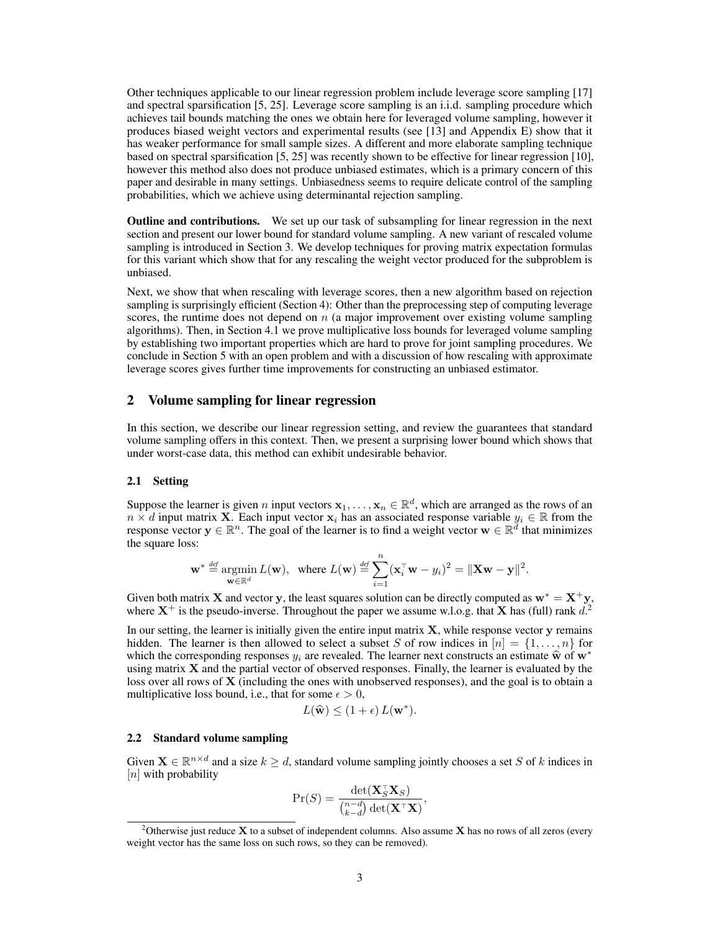Other techniques applicable to our linear regression problem include leverage score sampling [17] and spectral sparsification [5, 25]. Leverage score sampling is an i.i.d. sampling procedure which achieves tail bounds matching the ones we obtain here for leveraged volume sampling, however it produces biased weight vectors and experimental results (see [13] and Appendix E) show that it has weaker performance for small sample sizes. A different and more elaborate sampling technique based on spectral sparsification [5, 25] was recently shown to be effective for linear regression [10], however this method also does not produce unbiased estimates, which is a primary concern of this paper and desirable in many settings. Unbiasedness seems to require delicate control of the sampling probabilities, which we achieve using determinantal rejection sampling.

**Outline and contributions.** We set up our task of subsampling for linear regression in the next section and present our lower bound for standard volume sampling. A new variant of rescaled volume sampling is introduced in Section 3. We develop techniques for proving matrix expectation formulas for this variant which show that for any rescaling the weight vector produced for the subproblem is unbiased.

Next, we show that when rescaling with leverage scores, then a new algorithm based on rejection sampling is surprisingly efficient (Section 4): Other than the preprocessing step of computing leverage scores, the runtime does not depend on *n* (a major improvement over existing volume sampling algorithms). Then, in Section 4.1 we prove multiplicative loss bounds for leveraged volume sampling by establishing two important properties which are hard to prove for joint sampling procedures. We conclude in Section 5 with an open problem and with a discussion of how rescaling with approximate leverage scores gives further time improvements for constructing an unbiased estimator.

### 2 Volume sampling for linear regression

In this section, we describe our linear regression setting, and review the guarantees that standard volume sampling offers in this context. Then, we present a surprising lower bound which shows that under worst-case data, this method can exhibit undesirable behavior.

#### 2.1 Setting

Suppose the learner is given *n* input vectors  $x_1, \ldots, x_n \in \mathbb{R}^d$ , which are arranged as the rows of an  $n \times d$  input matrix **X**. Each input vector  $x_i$  has an associated response variable  $y_i \in \mathbb{R}$  from the response vector  $y \in \mathbb{R}^n$ . The goal of the learner is to find a weight vector  $w \in \mathbb{R}^d$  that minimizes the square loss:

$$
\mathbf{w}^* \stackrel{\text{def}}{=} \operatorname*{argmin}_{\mathbf{w} \in \mathbb{R}^d} L(\mathbf{w}), \ \text{ where } L(\mathbf{w}) \stackrel{\text{def}}{=} \sum_{i=1}^n (\mathbf{x}_i^{\top} \mathbf{w} - y_i)^2 = ||\mathbf{X} \mathbf{w} - \mathbf{y}||^2.
$$

Given both matrix **X** and vector **y**, the least squares solution can be directly computed as  $\mathbf{w}^* = \mathbf{X}^+ \mathbf{y}$ , where  $X^+$  is the pseudo-inverse. Throughout the paper we assume w.l.o.g. that X has (full) rank  $d^2$ 

In our setting, the learner is initially given the entire input matrix  $X$ , while response vector  $y$  remains hidden. The learner is then allowed to select a subset *S* of row indices in  $[n] = \{1, \ldots, n\}$  for which the corresponding responses  $y_i$  are revealed. The learner next constructs an estimate  $\hat{w}$  of  $w^*$ using matrix  $X$  and the partial vector of observed responses. Finally, the learner is evaluated by the loss over all rows of **X** (including the ones with unobserved responses), and the goal is to obtain a multiplicative loss bound, i.e., that for some  $\epsilon > 0$ ,

$$
L(\widehat{\mathbf{w}}) \le (1+\epsilon) L(\mathbf{w}^*).
$$

#### 2.2 Standard volume sampling

Given  $\mathbf{X} \in \mathbb{R}^{n \times d}$  and a size  $k \geq d$ , standard volume sampling jointly chooses a set *S* of *k* indices in [*n*] with probability

$$
\Pr(S) = \frac{\det(\mathbf{X}_S^{\top} \mathbf{X}_S)}{\binom{n-d}{k-d} \det(\mathbf{X}^{\top} \mathbf{X})},
$$

<sup>&</sup>lt;sup>2</sup>Otherwise just reduce **X** to a subset of independent columns. Also assume **X** has no rows of all zeros (every weight vector has the same loss on such rows, so they can be removed).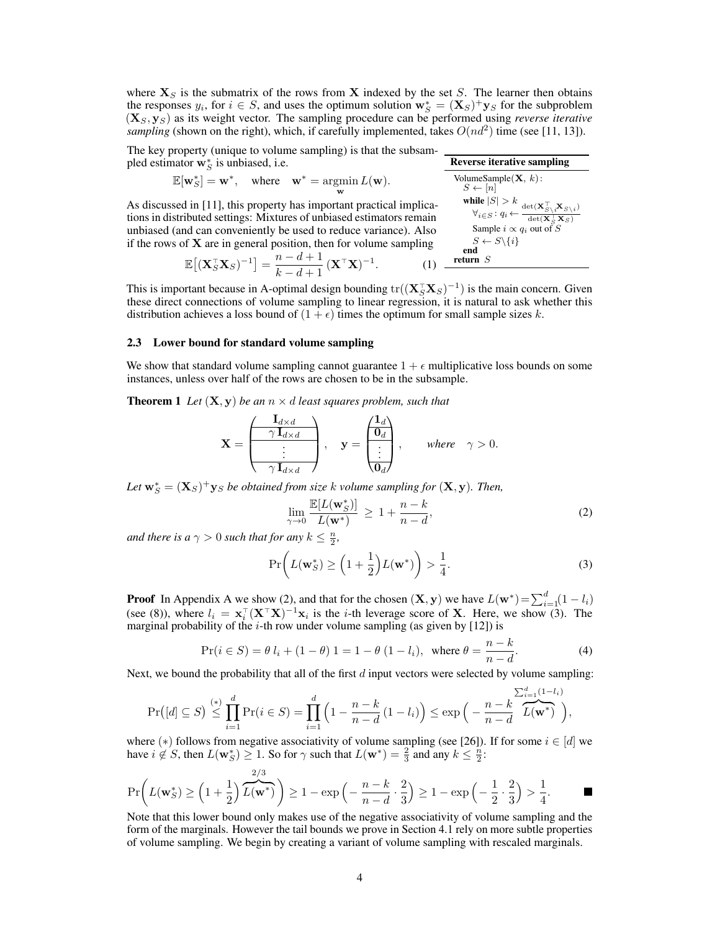where  $X<sub>S</sub>$  is the submatrix of the rows from X indexed by the set *S*. The learner then obtains the responses  $y_i$ , for  $i \in S$ , and uses the optimum solution  $\mathbf{w}_S^* = (\mathbf{X}_S)^+ \mathbf{y}_S$  for the subproblem (X*S,* y*S*) as its weight vector. The sampling procedure can be performed using *reverse iterative sampling* (shown on the right), which, if carefully implemented, takes  $O(nd^2)$  time (see [11, 13]).

The key property (unique to volume sampling) is that the subsampled estimator  $\mathbf{w}_S^*$  is unbiased, i.e.

$$
\mathbb{E}[\mathbf{w}_{S}^{*}] = \mathbf{w}^{*}, \quad \text{where} \quad \mathbf{w}^{*} = \operatorname*{argmin}_{\mathbf{w}} L(\mathbf{w}).
$$

As discussed in [11], this property has important practical implications in distributed settings: Mixtures of unbiased estimators remain unbiased (and can conveniently be used to reduce variance). Also if the rows of  $X$  are in general position, then for volume sampling

| Reverse iterative sampling                                                                               |
|----------------------------------------------------------------------------------------------------------|
| VolumeSample(X, k):                                                                                      |
| $S \leftarrow [n]$                                                                                       |
| while $ S  > k$                                                                                          |
| $\forall i \in S : q_i \leftarrow \frac{\text{det}(X_S^\top X S \setminus i)}{\text{det}(X_S^\top X S)}$ |
| Sample $i \propto q_i$ out of S                                                                          |
| $S \leftarrow S \setminus \{i\}$                                                                         |
| end                                                                                                      |
| return S                                                                                                 |

 $\mathbb{E}\left[\left(\mathbf{X}_S^{\top} \mathbf{X}_S\right)^{-1}\right] = \frac{n-d+1}{k-d+1} \left(\mathbf{X}^{\top} \mathbf{X}\right)^{-1}.$  (1) This is important because in A-optimal design bounding  $tr((\mathbf{X}_S^{\top} \mathbf{X}_S)^{-1})$  is the main concern. Given these direct connections of volume sampling to linear regression, it is natural to ask whether this

distribution achieves a loss bound of  $(1 + \epsilon)$  times the optimum for small sample sizes *k*.

# 2.3 Lower bound for standard volume sampling

We show that standard volume sampling cannot guarantee  $1 + \epsilon$  multiplicative loss bounds on some instances, unless over half of the rows are chosen to be in the subsample.

**Theorem 1** Let  $(X, y)$  be an  $n \times d$  least squares problem, such that

$$
\mathbf{X} = \begin{pmatrix} \mathbf{I}_{d \times d} \\ \hline \gamma \mathbf{I}_{d \times d} \\ \vdots \\ \hline \gamma \mathbf{I}_{d \times d} \end{pmatrix}, \quad \mathbf{y} = \begin{pmatrix} \mathbf{1}_d \\ \mathbf{0}_d \\ \vdots \\ \hline \mathbf{0}_d \end{pmatrix}, \quad \text{where} \quad \gamma > 0.
$$

Let  $\mathbf{w}_S^* = (\mathbf{X}_S)^+ \mathbf{y}_S$  *be obtained from size k volume sampling for*  $(\mathbf{X}, \mathbf{y})$ *. Then,* 

$$
\lim_{\gamma \to 0} \frac{\mathbb{E}[L(\mathbf{w}_S^*)]}{L(\mathbf{w}^*)} \ge 1 + \frac{n-k}{n-d},\tag{2}
$$

*and there is a*  $\gamma > 0$  *such that for any*  $k \leq \frac{n}{2}$ *,* 

$$
\Pr\left(L(\mathbf{w}_S^*) \ge \left(1 + \frac{1}{2}\right)L(\mathbf{w}^*)\right) > \frac{1}{4}.\tag{3}
$$

**Proof** In Appendix A we show (2), and that for the chosen  $(\mathbf{X}, \mathbf{y})$  we have  $L(\mathbf{w}^*) = \sum_{i=1}^d (1 - l_i)$ (see (8)), where  $l_i = \mathbf{x}_i^{\top} (\mathbf{X}^{\top} \mathbf{X})^{-1} \mathbf{x}_i$  is the *i*-th leverage score of **X**. Here, we show (3). The marginal probability of the  $i$ -th row under volume sampling (as given by  $[12]$ ) is

$$
\Pr(i \in S) = \theta \, l_i + (1 - \theta) \, 1 = 1 - \theta \, (1 - l_i), \text{ where } \theta = \frac{n - k}{n - d}.
$$
 (4)

Next, we bound the probability that all of the first *d* input vectors were selected by volume sampling:

$$
\Pr\big([d]\subseteq S\big)\stackrel{(*)}{\leq} \prod_{i=1}^d \Pr(i\in S) = \prod_{i=1}^d \left(1 - \frac{n-k}{n-d}\left(1 - l_i\right)\right) \leq \exp\Big(-\frac{n-k}{n-d} \frac{\sum_{i=1}^d (1-l_i)}{L(\mathbf{w}^*)}\Big),
$$

where (\*) follows from negative associativity of volume sampling (see [26]). If for some  $i \in [d]$  we have  $i \notin S$ , then  $L(\mathbf{w}_S^*) \geq 1$ . So for  $\gamma$  such that  $L(\mathbf{w}^*) = \frac{2}{3}$  and any  $k \leq \frac{n}{2}$ .

$$
\Pr\bigg(L(\mathbf{w}_S^*) \ge \left(1 + \frac{1}{2}\right)\overbrace{L(\mathbf{w}^*)}^{2/3}\bigg) \ge 1 - \exp\left(-\frac{n-k}{n-d}\cdot\frac{2}{3}\right) \ge 1 - \exp\left(-\frac{1}{2}\cdot\frac{2}{3}\right) > \frac{1}{4}.
$$

Note that this lower bound only makes use of the negative associativity of volume sampling and the form of the marginals. However the tail bounds we prove in Section 4.1 rely on more subtle properties of volume sampling. We begin by creating a variant of volume sampling with rescaled marginals.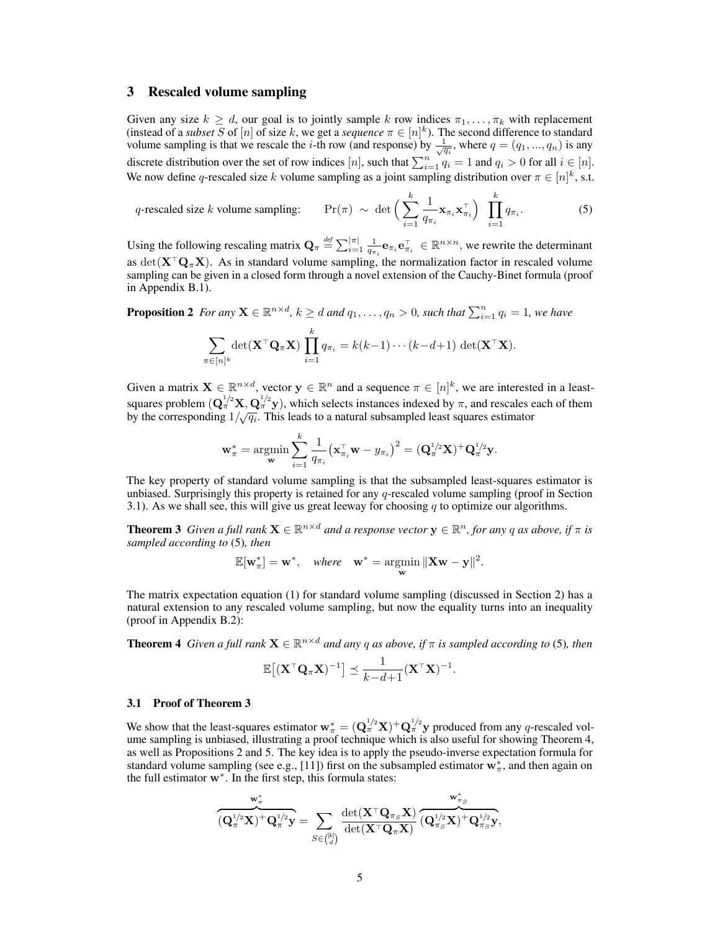### 3 Rescaled volume sampling

Given any size  $k \geq d$ , our goal is to jointly sample k row indices  $\pi_1, \ldots, \pi_k$  with replacement (instead of a *subset S* of [*n*] of size *k*, we get a *sequence*  $\pi \in [n]^k$ ). The second difference to standard volume sampling is that we rescale the *i*-th row (and response) by  $\frac{1}{\sqrt{q_i}}$ , where  $q = (q_1, ..., q_n)$  is any discrete distribution over the set of row indices [n], such that  $\sum_{i=1}^{n} q_i = 1$  and  $q_i > 0$  for all  $i \in [n]$ . We now define *q*-rescaled size *k* volume sampling as a joint sampling distribution over  $\pi \in [n]^k$ , s.t.

*q*-rescaled size *k* volume sampling: Pr

$$
(\pi) \sim \det \Big( \sum_{i=1}^{k} \frac{1}{q_{\pi_i}} \mathbf{x}_{\pi_i} \mathbf{x}_{\pi_i}^{\top} \Big) \prod_{i=1}^{k} q_{\pi_i}.
$$
 (5)

Using the following rescaling matrix  $\mathbf{Q}_{\pi} \stackrel{def}{=} \sum_{i=1}^{|\pi|} \frac{1}{q_{\pi_i}} \mathbf{e}_{\pi_i} \mathbf{e}_{\pi_i}^{\top} \in \mathbb{R}^{n \times n}$ , we rewrite the determinant as det( $X^{\top}Q_{\pi}X$ ). As in standard volume sampling, the normalization factor in rescaled volume sampling can be given in a closed form through a novel extension of the Cauchy-Binet formula (proof in Appendix B.1).

**Proposition 2** For any  $\mathbf{X} \in \mathbb{R}^{n \times d}$ ,  $k \geq d$  and  $q_1, \ldots, q_n > 0$ , such that  $\sum_{i=1}^n q_i = 1$ , we have

$$
\sum_{\pi \in [n]^k} \det(\mathbf{X}^\top \mathbf{Q}_\pi \mathbf{X}) \prod_{i=1}^k q_{\pi_i} = k(k-1) \cdots (k-d+1) \det(\mathbf{X}^\top \mathbf{X}).
$$

Given a matrix  $X \in \mathbb{R}^{n \times d}$ , vector  $y \in \mathbb{R}^n$  and a sequence  $\pi \in [n]^k$ , we are interested in a leastsquares problem  $(Q_{\pi}^{1/2}X, Q_{\pi}^{1/2}y)$ , which selects instances indexed by  $\pi$ , and rescales each of them by the corresponding  $1/\sqrt{q_i}$ . This leads to a natural subsampled least squares estimator

$$
\mathbf{w}^*_\pi = \operatornamewithlimits{argmin}_{\mathbf{w}} \sum_{i=1}^k \frac{1}{q_{\pi_i}} \big(\mathbf{x}_{\pi_i}^\top \mathbf{w} - y_{\pi_i}\big)^2 = (\mathbf{Q}_\pi^{1/2} \mathbf{X})^+ \mathbf{Q}_\pi^{1/2} \mathbf{y}.
$$

The key property of standard volume sampling is that the subsampled least-squares estimator is unbiased. Surprisingly this property is retained for any *q*-rescaled volume sampling (proof in Section 3.1). As we shall see, this will give us great leeway for choosing *q* to optimize our algorithms.

**Theorem 3** *Given a full rank*  $\mathbf{X} \in \mathbb{R}^{n \times d}$  *and a response vector*  $\mathbf{y} \in \mathbb{R}^n$ *, for any q as above, if*  $\pi$  *is sampled according to* (5)*, then*

$$
\mathbb{E}[\mathbf{w}_{\pi}^*] = \mathbf{w}^*, \quad \text{where} \quad \mathbf{w}^* = \underset{\mathbf{w}}{\operatorname{argmin}} \|\mathbf{X}\mathbf{w} - \mathbf{y}\|^2.
$$

The matrix expectation equation (1) for standard volume sampling (discussed in Section 2) has a natural extension to any rescaled volume sampling, but now the equality turns into an inequality (proof in Appendix B.2):

**Theorem 4** *Given a full rank*  $X \in \mathbb{R}^{n \times d}$  *and any q as above, if*  $\pi$  *is sampled according to* (5)*, then* 

$$
\mathbb{E}\big[(\mathbf{X}^\top \mathbf{Q}_\pi \mathbf{X})^{-1}\big] \preceq \frac{1}{k-d+1} (\mathbf{X}^\top \mathbf{X})^{-1}.
$$

#### 3.1 Proof of Theorem 3

We show that the least-squares estimator  $w^*_{\pi} = (Q^{1/2}_{\pi}X)^+ Q^{1/2}_{\pi}y$  produced from any *q*-rescaled volume sampling is unbiased, illustrating a proof technique which is also useful for showing Theorem 4, as well as Propositions 2 and 5. The key idea is to apply the pseudo-inverse expectation formula for standard volume sampling (see e.g., [11]) first on the subsampled estimator  $w^*_{\pi}$ , and then again on the full estimator  $w^*$ . In the first step, this formula states:

$$
\overbrace{(\mathbf{Q}_\pi^{1/2}\mathbf{X})}^{\mathbf{w}_\pi^*} \overbrace{\mathbf{Q}_\pi^{1/2}\mathbf{y}}^{\mathbf{w}_\pi^*} = \sum_{S \in \binom{[k]}{d}} \frac{\det(\mathbf{X}^\top\mathbf{Q}_{\pi_S}\mathbf{X})}{\det(\mathbf{X}^\top\mathbf{Q}_\pi\mathbf{X})} \overbrace{(\mathbf{Q}_{\pi_S}^{1/2}\mathbf{X})}^{\mathbf{w}_{\pi_S}^*} \overbrace{\mathbf{Q}_{\pi_S}^{1/2}\mathbf{y}}^{\mathbf{w}_{\pi_S}^*},
$$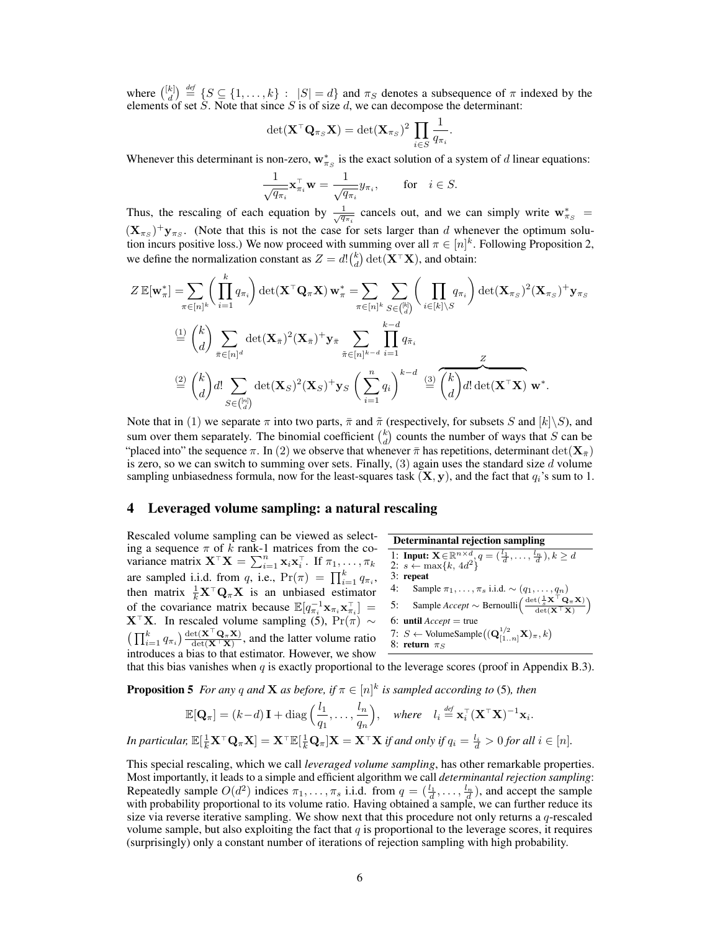where  $\binom{[k]}{d} \stackrel{\text{def}}{=} \{S \subseteq \{1, ..., k\} : |S| = d\}$  and  $\pi_S$  denotes a subsequence of  $\pi$  indexed by the elements of set S. Note that since S is of size d, we can decompose the determinant:

$$
\det(\mathbf{X}^{\top}\mathbf{Q}_{\pi_S}\mathbf{X}) = \det(\mathbf{X}_{\pi_S})^2 \prod_{i \in S} \frac{1}{q_{\pi_i}}.
$$

Whenever this determinant is non-zero,  $w_{\pi_S}^*$  is the exact solution of a system of *d* linear equations:

$$
\frac{1}{\sqrt{q_{\pi_i}}}\mathbf{x}_{\pi_i}^{\top}\mathbf{w} = \frac{1}{\sqrt{q_{\pi_i}}}y_{\pi_i}, \quad \text{for} \quad i \in S.
$$

Thus, the rescaling of each equation by  $\frac{1}{\sqrt{q_{\pi i}}}$  cancels out, and we can simply write  $\mathbf{w}_{\pi_S}^* =$  $(\mathbf{X}_{\pi_S})^+ \mathbf{y}_{\pi_S}$ . (Note that this is not the case for sets larger than *d* whenever the optimum solution incurs positive loss.) We now proceed with summing over all  $\pi \in [n]^k$ . Following Proposition 2, we define the normalization constant as  $Z = d! {k \choose d} \det(\mathbf{X}^\top \mathbf{X})$ , and obtain:

$$
Z \mathbb{E}[\mathbf{w}_{\pi}^{*}] = \sum_{\pi \in [n]^{k}} \left( \prod_{i=1}^{k} q_{\pi_{i}} \right) \det(\mathbf{X}^{\top} \mathbf{Q}_{\pi} \mathbf{X}) \mathbf{w}_{\pi}^{*} = \sum_{\pi \in [n]^{k}} \sum_{S \in {k \choose d}} \left( \prod_{i \in [k] \setminus S} q_{\pi_{i}} \right) \det(\mathbf{X}_{\pi_{S}})^{2} (\mathbf{X}_{\pi_{S}})^{+} \mathbf{y}_{\pi_{S}}
$$
  
\n
$$
\stackrel{\text{(1)}}{=} {k \choose d} \sum_{\pi \in [n]^{d}} \det(\mathbf{X}_{\pi})^{2} (\mathbf{X}_{\pi})^{+} \mathbf{y}_{\pi} \sum_{\tilde{\pi} \in [n]^{k-d}} \prod_{i=1}^{k-d} q_{\tilde{\pi}_{i}}
$$
  
\n
$$
\stackrel{\text{(2)}}{=} {k \choose d} d! \sum_{S \in {m \choose d}} \det(\mathbf{X}_{S})^{2} (\mathbf{X}_{S})^{+} \mathbf{y}_{S} \left( \sum_{i=1}^{n} q_{i} \right)^{k-d} \stackrel{\text{(3)}}{=} \overbrace{{k \choose d}} d! \det(\mathbf{X}^{\top} \mathbf{X}) \mathbf{w}^{*}.
$$

Note that in (1) we separate  $\pi$  into two parts,  $\bar{\pi}$  and  $\tilde{\pi}$  (respectively, for subsets *S* and  $[k]\backslash S$ ), and sum over them separately. The binomial coefficient  $\binom{k}{d}$  counts the number of ways that *S* can be "placed into" the sequence  $\pi$ . In (2) we observe that whenever  $\bar{\pi}$  has repetitions, determinant  $\det(\mathbf{X}_{\bar{\pi}})$ is zero, so we can switch to summing over sets. Finally, (3) again uses the standard size *d* volume sampling unbiasedness formula, now for the least-squares task  $(X, y)$ , and the fact that  $q_i$ 's sum to 1.

## 4 Leveraged volume sampling: a natural rescaling

Rescaled volume sampling can be viewed as selecting a sequence  $\pi$  of  $k$  rank-1 matrices from the covariance matrix  $\mathbf{X}^{\top} \mathbf{X} = \sum_{i=1}^{n} \mathbf{x}_i \mathbf{x}_i^{\top}$ . If  $\pi_1, \dots, \pi_k$ are sampled i.i.d. from *q*, i.e.,  $Pr(\pi) = \prod_{i=1}^{k} q_{\pi_i}$ , then matrix  $\frac{1}{k} \mathbf{X}^\top \mathbf{Q}_\pi \mathbf{X}$  is an unbiased estimator of the covariance matrix because  $\mathbb{E}[q_{\pi_i}^{-1} \mathbf{x}_{\pi_i} \mathbf{x}_{\pi_i}^{\top}] =$  $\mathbf{X}^{\top} \mathbf{X}$ . In rescaled volume sampling (5),  $\Pr(\pi) \sim (\prod_{i=1}^{k} q_{\pi_i}) \frac{\det(\mathbf{X}^{\top} \mathbf{Q}_{\pi} \mathbf{X})}{\det(\mathbf{X}^{\top} \mathbf{X})}$ , and the latter volume ratio introduces a bias to that estimator. However, we show

| Determinantal rejection sampling                                                                                                                        |
|---------------------------------------------------------------------------------------------------------------------------------------------------------|
| 1: Input: $X \in \mathbb{R}^{n \times d}, q = (\frac{l_1}{d}, \ldots, \frac{l_n}{d}), k \geq d$                                                         |
| 2: $s \leftarrow \max\{k, 4d^2\}^q = (\frac{l_1}{d}, \ldots, \frac{l_n}{d}), k \geq d$                                                                  |
| 3: repeat                                                                                                                                               |
| 4: Sample $\pi_1, \ldots, \pi_s$ i.i.d. $\sim (q_1, \ldots, q_n)$                                                                                       |
| 5: Sample Accept $\sim$ Bernoulli $\left(\frac{\det(\frac{1}{s} \mathbf{X}^\top \mathbf{Q}_{\pi} \mathbf{X})}{\det(\mathbf{X}^\top \mathbf{X})}\right)$ |
| 6: until Accept = true                                                                                                                                  |
| 7: $S \leftarrow$ VolumeSample $((\mathbf{Q}_{[1..n]}^{1/2} \mathbf{X})_{\pi}, k)$                                                                      |
| 8: return $\pi_S$                                                                                                                                       |

that this bias vanishes when  $q$  is exactly proportional to the leverage scores (proof in Appendix B.3).

**Proposition 5** For any  $q$  and **X** as before, if  $\pi \in [n]^k$  is sampled according to (5), then

$$
\mathbb{E}[\mathbf{Q}_{\pi}] = (k-d)\mathbf{I} + \text{diag}\left(\frac{l_1}{q_1},\ldots,\frac{l_n}{q_n}\right), \quad \text{where} \quad l_i \stackrel{\text{def}}{=} \mathbf{x}_i^{\top}(\mathbf{X}^{\top}\mathbf{X})^{-1}\mathbf{x}_i.
$$

In particular,  $\mathbb{E}[\frac{1}{k}\mathbf{X}^{\top}\mathbf{Q}_{\pi}\mathbf{X}] = \mathbf{X}^{\top}\mathbb{E}[\frac{1}{k}\mathbf{Q}_{\pi}]\mathbf{X} = \mathbf{X}^{\top}\mathbf{X}$  if and only if  $q_i = \frac{l_i}{d} > 0$  for all  $i \in [n]$ .

This special rescaling, which we call *leveraged volume sampling*, has other remarkable properties. Most importantly, it leads to a simple and efficient algorithm we call *determinantal rejection sampling*: Repeatedly sample  $O(d^2)$  indices  $\pi_1, \ldots, \pi_s$  i.i.d. from  $q = (\frac{l_1}{d}, \ldots, \frac{l_n}{d})$ , and accept the sample with probability proportional to its volume ratio. Having obtained a sample, we can further reduce its size via reverse iterative sampling. We show next that this procedure not only returns a *q*-rescaled volume sample, but also exploiting the fact that  $q$  is proportional to the leverage scores, it requires (surprisingly) only a constant number of iterations of rejection sampling with high probability.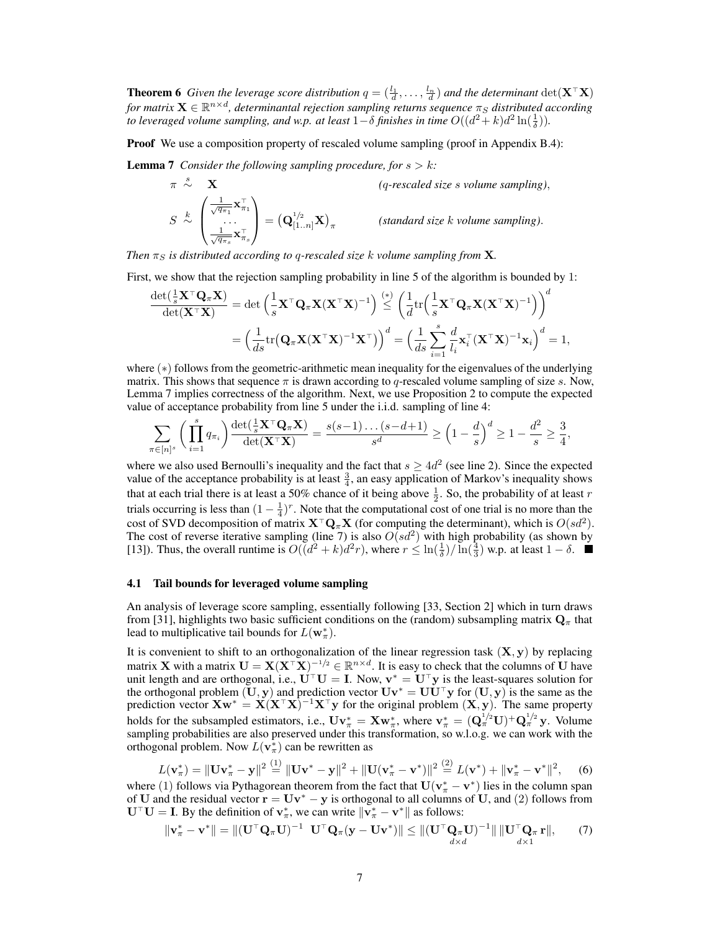**Theorem 6** Given the leverage score distribution  $q = (\frac{l_1}{d}, \ldots, \frac{l_n}{d})$  and the determinant  $\det(\mathbf{X}^T \mathbf{X})$ *for matrix*  $\mathbf{X} \in \mathbb{R}^{n \times d}$ , determinantal rejection sampling returns sequence  $\pi_S$  distributed according *to leveraged volume sampling, and w.p. at least*  $1-\delta$  *finishes in time*  $O((d^2 + k)d^2 \ln(\frac{1}{\delta}))$ *.* 

**Proof** We use a composition property of rescaled volume sampling (proof in Appendix B.4):

**Lemma 7** *Consider the following sampling procedure, for*  $s > k$ *:* 

$$
\pi \stackrel{s}{\sim} \mathbf{X}
$$
\n
$$
S \stackrel{k}{\sim} \left( \frac{\frac{1}{\sqrt{q_{\pi_1}}} \mathbf{x}_{\pi_1}^{\top}}{\dots} \right) = \left( \mathbf{Q}_{[1..n]}^{1/2} \mathbf{X} \right)_{\pi}
$$
\n
$$
(standard size k volume sampling).
$$
\n
$$
S \stackrel{k}{\sim} \left( \frac{\frac{1}{\sqrt{q_{\pi_s}}} \mathbf{x}_{\pi_s}^{\top}}{\dots} \right) = \left( \mathbf{Q}_{[1..n]}^{1/2} \mathbf{X} \right)_{\pi}
$$
\n
$$
(standard size k volume sampling).
$$

*Then*  $\pi_S$  *is distributed according to q-rescaled size k volume sampling from* **X**.

First, we show that the rejection sampling probability in line 5 of the algorithm is bounded by 1:

$$
\frac{\det(\frac{1}{s}\mathbf{X}^\top\mathbf{Q}_\pi\mathbf{X})}{\det(\mathbf{X}^\top\mathbf{X})} = \det\left(\frac{1}{s}\mathbf{X}^\top\mathbf{Q}_\pi\mathbf{X}(\mathbf{X}^\top\mathbf{X})^{-1}\right) \stackrel{(*)}{\leq} \left(\frac{1}{d}\text{tr}\left(\frac{1}{s}\mathbf{X}^\top\mathbf{Q}_\pi\mathbf{X}(\mathbf{X}^\top\mathbf{X})^{-1}\right)\right)^d
$$

$$
= \left(\frac{1}{ds}\text{tr}\left(\mathbf{Q}_\pi\mathbf{X}(\mathbf{X}^\top\mathbf{X})^{-1}\mathbf{X}^\top\right)\right)^d = \left(\frac{1}{ds}\sum_{i=1}^s\frac{d}{l_i}\mathbf{x}_i^\top(\mathbf{X}^\top\mathbf{X})^{-1}\mathbf{x}_i\right)^d = 1,
$$

where  $(*)$  follows from the geometric-arithmetic mean inequality for the eigenvalues of the underlying matrix. This shows that sequence  $\pi$  is drawn according to q-rescaled volume sampling of size  $s$ . Now, Lemma 7 implies correctness of the algorithm. Next, we use Proposition 2 to compute the expected value of acceptance probability from line 5 under the i.i.d. sampling of line 4:

$$
\sum_{\pi \in [n]^s} \left( \prod_{i=1}^s q_{\pi_i} \right) \frac{\det(\frac{1}{s} \mathbf{X}^\top \mathbf{Q}_\pi \mathbf{X})}{\det(\mathbf{X}^\top \mathbf{X})} = \frac{s(s-1) \dots (s-d+1)}{s^d} \ge \left(1 - \frac{d}{s}\right)^d \ge 1 - \frac{d^2}{s} \ge \frac{3}{4},
$$

where we also used Bernoulli's inequality and the fact that  $s \geq 4d^2$  (see line 2). Since the expected value of the acceptance probability is at least  $\frac{3}{4}$ , an easy application of Markov's inequality shows that at each trial there is at least a 50% chance of it being above  $\frac{1}{2}$ . So, the probability of at least *r* trials occurring is less than  $(1 - \frac{1}{4})^r$ . Note that the computational cost of one trial is no more than the cost of SVD decomposition of matrix  $X^{\top}Q_{\pi}X$  (for computing the determinant), which is  $O(sd^2)$ . The cost of reverse iterative sampling (line 7) is also  $O(s d^2)$  with high probability (as shown by [13]). Thus, the overall runtime is  $O((d^2 + k)d^2r)$ , where  $r \leq \ln(\frac{1}{\delta})/\ln(\frac{3}{3})$  w.p. at least  $1 - \delta$ .

#### 4.1 Tail bounds for leveraged volume sampling

An analysis of leverage score sampling, essentially following [33, Section 2] which in turn draws from [31], highlights two basic sufficient conditions on the (random) subsampling matrix  $\mathbf{Q}_{\pi}$  that lead to multiplicative tail bounds for  $L(\mathbf{w}_\pi^*)$ .

It is convenient to shift to an orthogonalization of the linear regression task (X*,* y) by replacing matrix **X** with a matrix  $U = X(X^{\top}X)^{-1/2} \in \mathbb{R}^{n \times d}$ . It is easy to check that the columns of U have unit length and are orthogonal, i.e.,  $U^{\top}U = I$ . Now,  $v^* = U^{\top}y$  is the least-squares solution for the orthogonal problem  $(U, y)$  and prediction vector  $Uv^* = UU^{\top}y$  for  $(U, y)$  is the same as the prediction vector  $Xw^* = X(X^{\top}X)^{-1}X^{\top}y$  for the original problem  $(X, y)$ . The same property holds for the subsampled estimators, i.e.,  $\mathbf{U}\mathbf{v}^*_\pi = \mathbf{X}\mathbf{w}^*_\pi$ , where  $\mathbf{v}^*_\pi = (\mathbf{Q}^{1/2}_\pi \mathbf{U})^+ \mathbf{Q}^{1/2}_\pi \mathbf{y}$ . Volume sampling probabilities are also preserved under this transformation, so w.l.o.g. we can work with the orthogonal problem. Now  $L(\mathbf{v}_\pi^*)$  can be rewritten as

$$
L(\mathbf{v}_{\pi}^{*}) = ||\mathbf{U}\mathbf{v}_{\pi}^{*} - \mathbf{y}||^{2} \stackrel{(1)}{=} ||\mathbf{U}\mathbf{v}^{*} - \mathbf{y}||^{2} + ||\mathbf{U}(\mathbf{v}_{\pi}^{*} - \mathbf{v}^{*})||^{2} \stackrel{(2)}{=} L(\mathbf{v}^{*}) + ||\mathbf{v}_{\pi}^{*} - \mathbf{v}^{*}||^{2}, \quad (6)
$$

where (1) follows via Pythagorean theorem from the fact that  $U(v^*_{\pi} - v^*)$  lies in the column span of U and the residual vector  $\mathbf{r} = \mathbf{U}\mathbf{v}^* - \mathbf{y}$  is orthogonal to all columns of U, and (2) follows from  $U^{\top}U = I$ . By the definition of  $v_{\pi}^*$ , we can write  $\Vert v_{\pi}^* - v^* \Vert$  as follows:

$$
\|\mathbf{v}_{\pi}^* - \mathbf{v}^*\| = \|(\mathbf{U}^\top \mathbf{Q}_{\pi} \mathbf{U})^{-1} \mathbf{U}^\top \mathbf{Q}_{\pi} (\mathbf{y} - \mathbf{U} \mathbf{v}^*)\| \le \|(\mathbf{U}^\top \mathbf{Q}_{\pi} \mathbf{U})^{-1}\| \|\mathbf{U}^\top \mathbf{Q}_{\pi} \mathbf{r}\|, \qquad (7)
$$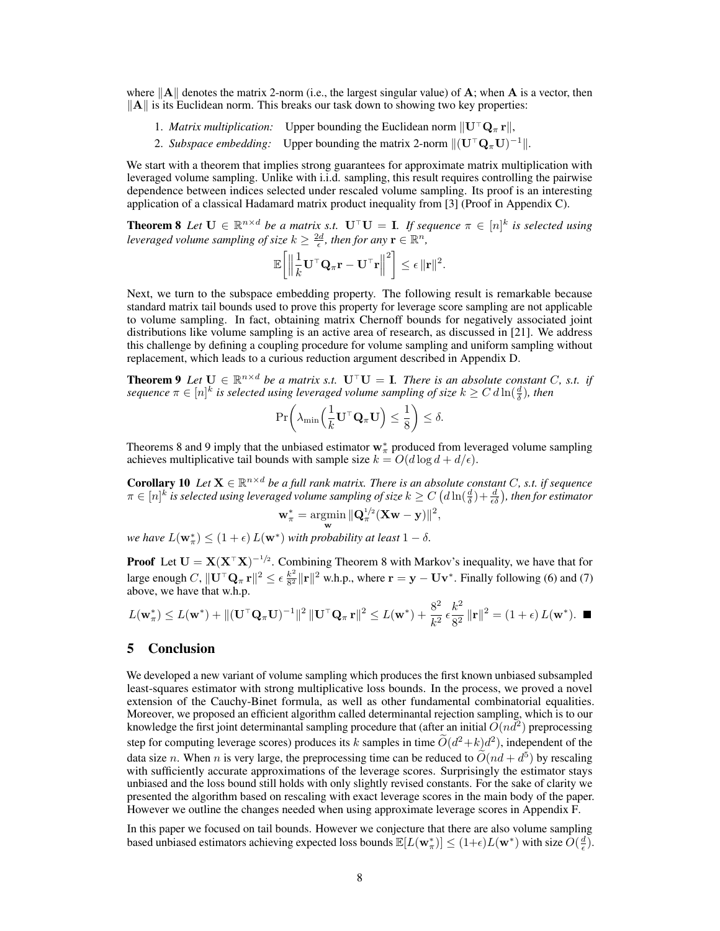where  $\|\mathbf{A}\|$  denotes the matrix 2-norm (i.e., the largest singular value) of  $\mathbf{A}$ ; when  $\mathbf{A}$  is a vector, then  $\Vert A \Vert$  is its Euclidean norm. This breaks our task down to showing two key properties:

- 1. *Matrix multiplication:* Upper bounding the Euclidean norm  $\|\mathbf{U}^{\top}\mathbf{Q}_{\pi}\mathbf{r}\|$ ,
- 2. *Subspace embedding:* Upper bounding the matrix 2-norm  $\|(\mathbf{U}^\top \mathbf{Q}_\pi \mathbf{U})^{-1}\|$ .

We start with a theorem that implies strong guarantees for approximate matrix multiplication with leveraged volume sampling. Unlike with i.i.d. sampling, this result requires controlling the pairwise dependence between indices selected under rescaled volume sampling. Its proof is an interesting application of a classical Hadamard matrix product inequality from [3] (Proof in Appendix C).

**Theorem 8** Let  $\mathbf{U} \in \mathbb{R}^{n \times d}$  be a matrix s.t.  $\mathbf{U}^\top \mathbf{U} = \mathbf{I}$ . If sequence  $\pi \in [n]^k$  is selected using *leveraged volume sampling of size*  $k \geq \frac{2d}{\epsilon}$ , then for any  $\mathbf{r} \in \mathbb{R}^n$ ,

$$
\mathbb{E}\bigg[\Big\|\frac{1}{k}\mathbf{U}^\top\mathbf{Q}_\pi\mathbf{r} - \mathbf{U}^\top\mathbf{r}\Big\|^2\bigg] \leq \epsilon \|\mathbf{r}\|^2.
$$

Next, we turn to the subspace embedding property. The following result is remarkable because standard matrix tail bounds used to prove this property for leverage score sampling are not applicable to volume sampling. In fact, obtaining matrix Chernoff bounds for negatively associated joint distributions like volume sampling is an active area of research, as discussed in [21]. We address this challenge by defining a coupling procedure for volume sampling and uniform sampling without replacement, which leads to a curious reduction argument described in Appendix D.

**Theorem 9** Let  $\mathbf{U} \in \mathbb{R}^{n \times d}$  *be a matrix s.t.*  $\mathbf{U}^{\top} \mathbf{U} = \mathbf{I}$ *. There is an absolute constant C, s.t. if*  $s$ equence  $\pi \in [n]^k$  is selected using leveraged volume sampling of size  $k \geq C\, d\ln(\frac{d}{\delta}),$  then

$$
\Pr\biggl(\lambda_{\min}\Bigl(\frac{1}{k}{\bf U}^\top{\bf Q}_\pi{\bf U}\Bigr)\leq\frac{1}{8}\biggr)\leq\delta.
$$

Theorems 8 and 9 imply that the unbiased estimator  $w^*_{\pi}$  produced from leveraged volume sampling achieves multiplicative tail bounds with sample size  $k = O(d \log d + d/\epsilon)$ .

**Corollary 10** Let  $X \in \mathbb{R}^{n \times d}$  be a full rank matrix. There is an absolute constant *C*, s.t. if sequence  $\pi \in [n]^k$  is selected using leveraged volume sampling of size  $k \geq C\left(d\ln(\frac{d}{\delta})+\frac{d}{\epsilon\delta}\right)$ , then for estimator

$$
\mathbf{w}_{\pi}^* = \operatorname*{argmin}_{\mathbf{w}} \|\mathbf{Q}_{\pi}^{1/2} (\mathbf{X} \mathbf{w} - \mathbf{y})\|^2,
$$

*we have*  $L(\mathbf{w}_\pi^*) \leq (1+\epsilon) L(\mathbf{w}^*)$  *with probability at least*  $1-\delta$ .

**Proof** Let  $U = X(X^{\top}X)^{-1/2}$ . Combining Theorem 8 with Markov's inequality, we have that for large enough *C*,  $\|\mathbf{U}^\top \mathbf{Q}_\pi \mathbf{r}\|^2 \le \epsilon \frac{k^2}{8^2} \|\mathbf{r}\|^2$  w.h.p., where  $\mathbf{r} = \mathbf{y} - \mathbf{U}\mathbf{v}^*$ . Finally following (6) and (7) above, we have that w.h.p.

$$
L(\mathbf{w}_{\pi}^*) \leq L(\mathbf{w}^*) + ||(\mathbf{U}^\top \mathbf{Q}_{\pi} \mathbf{U})^{-1}||^2 ||\mathbf{U}^\top \mathbf{Q}_{\pi} \mathbf{r}||^2 \leq L(\mathbf{w}^*) + \frac{8^2}{k^2} \epsilon \frac{k^2}{8^2} ||\mathbf{r}||^2 = (1 + \epsilon) L(\mathbf{w}^*).
$$

# 5 Conclusion

We developed a new variant of volume sampling which produces the first known unbiased subsampled least-squares estimator with strong multiplicative loss bounds. In the process, we proved a novel extension of the Cauchy-Binet formula, as well as other fundamental combinatorial equalities. Moreover, we proposed an efficient algorithm called determinantal rejection sampling, which is to our knowledge the first joint determinantal sampling procedure that (after an initial  $\tilde{O}(nd^2)$ ) preprocessing step for computing leverage scores) produces its *k* samples in time  $\tilde{O}(d^2+k)d^2$ ), independent of the data size *n*. When *n* is very large, the preprocessing time can be reduced to  $\tilde{O}(nd + d^5)$  by rescaling with sufficiently accurate approximations of the leverage scores. Surprisingly the estimator stays unbiased and the loss bound still holds with only slightly revised constants. For the sake of clarity we presented the algorithm based on rescaling with exact leverage scores in the main body of the paper. However we outline the changes needed when using approximate leverage scores in Appendix F.

In this paper we focused on tail bounds. However we conjecture that there are also volume sampling based unbiased estimators achieving expected loss bounds  $\mathbb{E}[L(\mathbf{w}_\pi^*)] \leq (1+\epsilon)L(\mathbf{w}^*)$  with size  $O(\frac{d}{\epsilon})$ .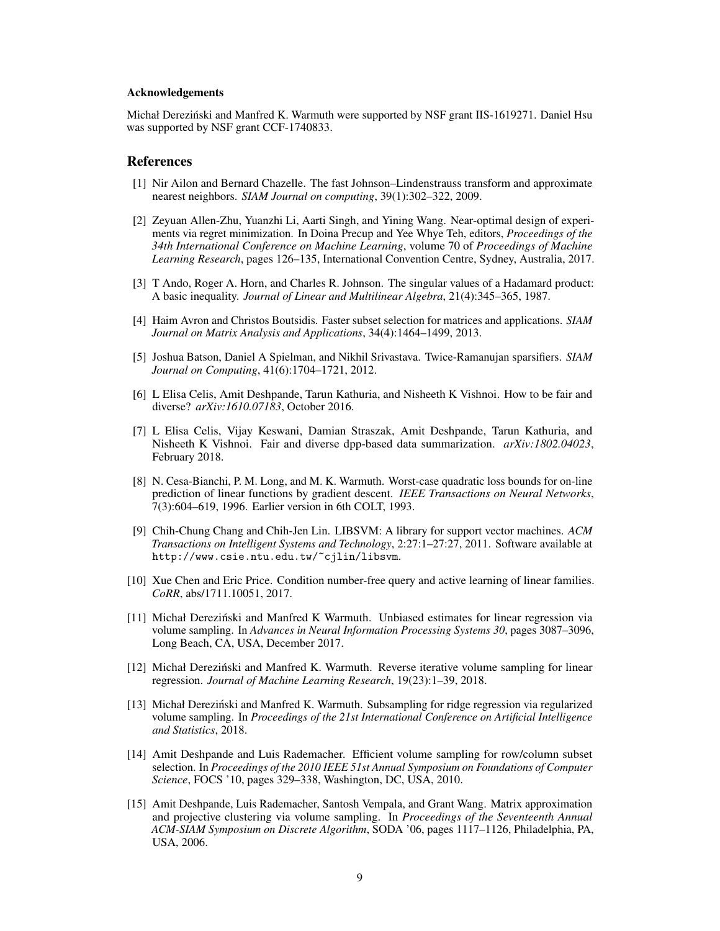#### Acknowledgements

Michał Derezinski and Manfred K. Warmuth were supported by NSF grant IIS-1619271. Daniel Hsu ´ was supported by NSF grant CCF-1740833.

### **References**

- [1] Nir Ailon and Bernard Chazelle. The fast Johnson–Lindenstrauss transform and approximate nearest neighbors. *SIAM Journal on computing*, 39(1):302–322, 2009.
- [2] Zeyuan Allen-Zhu, Yuanzhi Li, Aarti Singh, and Yining Wang. Near-optimal design of experiments via regret minimization. In Doina Precup and Yee Whye Teh, editors, *Proceedings of the 34th International Conference on Machine Learning*, volume 70 of *Proceedings of Machine Learning Research*, pages 126–135, International Convention Centre, Sydney, Australia, 2017.
- [3] T Ando, Roger A. Horn, and Charles R. Johnson. The singular values of a Hadamard product: A basic inequality. *Journal of Linear and Multilinear Algebra*, 21(4):345–365, 1987.
- [4] Haim Avron and Christos Boutsidis. Faster subset selection for matrices and applications. *SIAM Journal on Matrix Analysis and Applications*, 34(4):1464–1499, 2013.
- [5] Joshua Batson, Daniel A Spielman, and Nikhil Srivastava. Twice-Ramanujan sparsifiers. *SIAM Journal on Computing*, 41(6):1704–1721, 2012.
- [6] L Elisa Celis, Amit Deshpande, Tarun Kathuria, and Nisheeth K Vishnoi. How to be fair and diverse? *arXiv:1610.07183*, October 2016.
- [7] L Elisa Celis, Vijay Keswani, Damian Straszak, Amit Deshpande, Tarun Kathuria, and Nisheeth K Vishnoi. Fair and diverse dpp-based data summarization. *arXiv:1802.04023*, February 2018.
- [8] N. Cesa-Bianchi, P. M. Long, and M. K. Warmuth. Worst-case quadratic loss bounds for on-line prediction of linear functions by gradient descent. *IEEE Transactions on Neural Networks*, 7(3):604–619, 1996. Earlier version in 6th COLT, 1993.
- [9] Chih-Chung Chang and Chih-Jen Lin. LIBSVM: A library for support vector machines. *ACM Transactions on Intelligent Systems and Technology*, 2:27:1–27:27, 2011. Software available at http://www.csie.ntu.edu.tw/~cjlin/libsvm.
- [10] Xue Chen and Eric Price. Condition number-free query and active learning of linear families. *CoRR*, abs/1711.10051, 2017.
- [11] Michał Dereziński and Manfred K Warmuth. Unbiased estimates for linear regression via volume sampling. In *Advances in Neural Information Processing Systems 30*, pages 3087–3096, Long Beach, CA, USA, December 2017.
- [12] Michał Dereziński and Manfred K. Warmuth. Reverse iterative volume sampling for linear regression. *Journal of Machine Learning Research*, 19(23):1–39, 2018.
- [13] Michał Dereziński and Manfred K. Warmuth. Subsampling for ridge regression via regularized volume sampling. In *Proceedings of the 21st International Conference on Artificial Intelligence and Statistics*, 2018.
- [14] Amit Deshpande and Luis Rademacher. Efficient volume sampling for row/column subset selection. In *Proceedings of the 2010 IEEE 51st Annual Symposium on Foundations of Computer Science*, FOCS '10, pages 329–338, Washington, DC, USA, 2010.
- [15] Amit Deshpande, Luis Rademacher, Santosh Vempala, and Grant Wang. Matrix approximation and projective clustering via volume sampling. In *Proceedings of the Seventeenth Annual ACM-SIAM Symposium on Discrete Algorithm*, SODA '06, pages 1117–1126, Philadelphia, PA, USA, 2006.